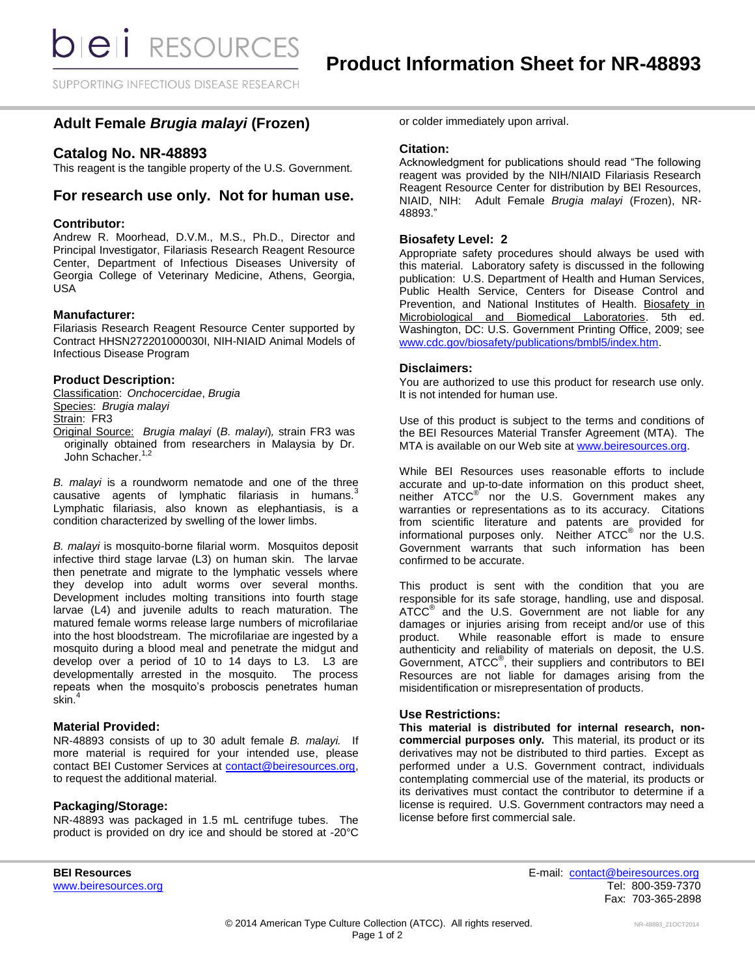SUPPORTING INFECTIOUS DISEASE RESEARCH

# **Adult Female** *Brugia malayi* **(Frozen)**

## **Catalog No. NR-48893**

This reagent is the tangible property of the U.S. Government.

## **For research use only. Not for human use.**

### **Contributor:**

Andrew R. Moorhead, D.V.M., M.S., Ph.D., Director and Principal Investigator, Filariasis Research Reagent Resource Center, Department of Infectious Diseases University of Georgia College of Veterinary Medicine, Athens, Georgia, USA

## **Manufacturer:**

Filariasis Research Reagent Resource Center supported by Contract HHSN272201000030I, NIH-NIAID Animal Models of Infectious Disease Program

## **Product Description:**

Classification: *Onchocercidae*, *Brugia* Species: *Brugia malayi* Strain: FR3 Original Source: *Brugia malayi* (*B. malayi*)*,* strain FR3 was originally obtained from researchers in Malaysia by Dr. John Schacher.<sup>1,2</sup>

*B. malayi* is a roundworm nematode and one of the three causative agents of lymphatic filariasis in humans.<sup>3</sup> Lymphatic filariasis, also known as elephantiasis, is a condition characterized by swelling of the lower limbs.

*B. malayi* is mosquito-borne filarial worm. Mosquitos deposit infective third stage larvae (L3) on human skin. The larvae then penetrate and migrate to the lymphatic vessels where they develop into adult worms over several months. Development includes molting transitions into fourth stage larvae (L4) and juvenile adults to reach maturation. The matured female worms release large numbers of microfilariae into the host bloodstream. The microfilariae are ingested by a mosquito during a blood meal and penetrate the midgut and develop over a period of 10 to 14 days to L3. L3 are developmentally arrested in the mosquito. The process repeats when the mosquito's proboscis penetrates human skin.<sup>4</sup>

## **Material Provided:**

NR-48893 consists of up to 30 adult female *B. malayi.* If more material is required for your intended use, please contact BEI Customer Services at [contact@beiresources.org,](mailto:contact@beiresources.org) to request the additional material*.*

## **Packaging/Storage:**

NR-48893 was packaged in 1.5 mL centrifuge tubes. The product is provided on dry ice and should be stored at -20°C

or colder immediately upon arrival.

### **Citation:**

Acknowledgment for publications should read "The following reagent was provided by the NIH/NIAID Filariasis Research Reagent Resource Center for distribution by BEI Resources, NIAID, NIH: Adult Female *Brugia malayi* (Frozen), NR-48893."

## **Biosafety Level: 2**

Appropriate safety procedures should always be used with this material. Laboratory safety is discussed in the following publication: U.S. Department of Health and Human Services, Public Health Service, Centers for Disease Control and Prevention, and National Institutes of Health. Biosafety in Microbiological and Biomedical Laboratories. 5th ed. Washington, DC: U.S. Government Printing Office, 2009; see [www.cdc.gov/biosafety/publications/bmbl5/index.htm.](http://www.cdc.gov/biosafety/publications/bmbl5/index.htm)

### **Disclaimers:**

You are authorized to use this product for research use only. It is not intended for human use.

Use of this product is subject to the terms and conditions of the BEI Resources Material Transfer Agreement (MTA). The MTA is available on our Web site at [www.beiresources.org.](http://www.beiresources.org/)

While BEI Resources uses reasonable efforts to include accurate and up-to-date information on this product sheet, neither ATCC<sup>®</sup> nor the U.S. Government makes any warranties or representations as to its accuracy. Citations from scientific literature and patents are provided for informational purposes only. Neither  $\tt ATCC^@$  nor the U.S. Government warrants that such information has been confirmed to be accurate.

This product is sent with the condition that you are responsible for its safe storage, handling, use and disposal.  $\tt ATCC<sup>®</sup>$  and the U.S. Government are not liable for any damages or injuries arising from receipt and/or use of this product. While reasonable effort is made to ensure authenticity and reliability of materials on deposit, the U.S. Government, ATCC® , their suppliers and contributors to BEI Resources are not liable for damages arising from the misidentification or misrepresentation of products.

## **Use Restrictions:**

**This material is distributed for internal research, noncommercial purposes only.** This material, its product or its derivatives may not be distributed to third parties. Except as performed under a U.S. Government contract, individuals contemplating commercial use of the material, its products or its derivatives must contact the contributor to determine if a license is required. U.S. Government contractors may need a license before first commercial sale.

**BEI Resources** E-mail: [contact@beiresources.org](mailto:contact@beiresources.org) [www.beiresources.org](http://www.beiresources.org/)Tel: 800-359-7370 Fax: 703-365-2898